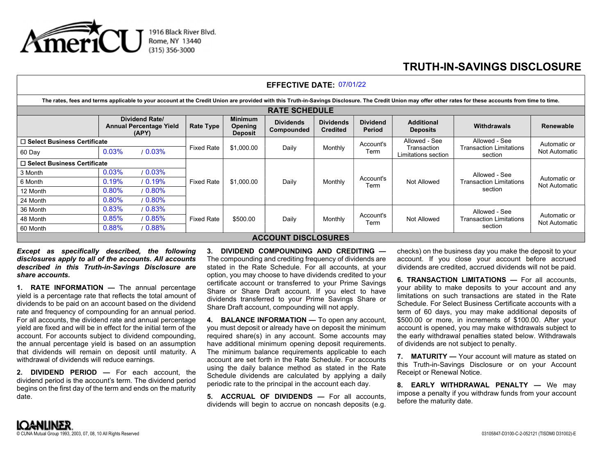

1916 Black River Blvd. Rome, NY 13440 (315) 356-3000

## TRUTH-IN-SAVINGS DISCLOSURE

|                               |       |                                                                  |                                 |                                             | <b>EFFECTIVE DATE: 07/01/22</b> |                                     |                                    |                                           |                                                                                                                                                                                                           |                  |
|-------------------------------|-------|------------------------------------------------------------------|---------------------------------|---------------------------------------------|---------------------------------|-------------------------------------|------------------------------------|-------------------------------------------|-----------------------------------------------------------------------------------------------------------------------------------------------------------------------------------------------------------|------------------|
|                               |       |                                                                  |                                 |                                             |                                 |                                     |                                    |                                           | The rates, fees and terms applicable to your account at the Credit Union are provided with this Truth-in-Savings Disclosure. The Credit Union may offer other rates for these accounts from time to time. |                  |
|                               |       |                                                                  |                                 |                                             | <b>RATE SCHEDULE</b>            |                                     |                                    |                                           |                                                                                                                                                                                                           |                  |
|                               |       | <b>Dividend Rate/</b><br><b>Annual Percentage Yield</b><br>(APY) | <b>Rate Type</b>                | <b>Minimum</b><br>Opening<br><b>Deposit</b> | <b>Dividends</b><br>Compounded  | <b>Dividends</b><br><b>Credited</b> | <b>Dividend</b><br><b>Period</b>   | <b>Additional</b><br><b>Deposits</b>      | <b>Withdrawals</b>                                                                                                                                                                                        | <b>Renewable</b> |
| □ Select Business Certificate |       |                                                                  |                                 |                                             |                                 | Account's                           | Allowed - See                      | Allowed - See                             | Automatic or                                                                                                                                                                                              |                  |
| 60 Day                        | 0.03% | $10.03\%$                                                        | \$1,000.00<br><b>Fixed Rate</b> | Daily                                       | Monthly                         | Term                                | Transaction<br>Limitations section | <b>Transaction Limitations</b><br>section | Not Automatic                                                                                                                                                                                             |                  |
| □ Select Business Certificate |       |                                                                  |                                 |                                             |                                 |                                     |                                    |                                           |                                                                                                                                                                                                           |                  |
| 3 Month                       | 0.03% | $10.03\%$                                                        | \$1,000.00<br><b>Fixed Rate</b> |                                             |                                 |                                     |                                    |                                           | Allowed - See                                                                                                                                                                                             |                  |
| 6 Month                       | 0.19% | / 0.19%                                                          |                                 | Daily                                       | Monthly                         | Account's<br>Term                   | Not Allowed                        | <b>Transaction Limitations</b>            | Automatic or<br>Not Automatic                                                                                                                                                                             |                  |
| 12 Month                      | 0.80% | / 0.80%                                                          |                                 |                                             |                                 |                                     |                                    |                                           | section                                                                                                                                                                                                   |                  |
| 24 Month                      | 0.80% | / 0.80%                                                          |                                 |                                             |                                 |                                     |                                    |                                           |                                                                                                                                                                                                           |                  |
| 36 Month                      | 0.83% | / 0.83%                                                          | Fixed Rate<br>\$500.00          |                                             |                                 |                                     |                                    |                                           | Allowed - See                                                                                                                                                                                             |                  |
| 48 Month                      | 0.85% | / 0.85%                                                          |                                 | Daily                                       | Monthly                         | Account's<br>Term                   | Not Allowed                        | <b>Transaction Limitations</b>            | Automatic or<br>Not Automatic                                                                                                                                                                             |                  |
| 60 Month                      | 0.88% | / 0.88%                                                          |                                 |                                             |                                 |                                     |                                    |                                           | section                                                                                                                                                                                                   |                  |
|                               |       |                                                                  |                                 |                                             | <b>ACCOUNT DISCLOSURES</b>      |                                     |                                    |                                           |                                                                                                                                                                                                           |                  |

Except as specifically described, the following 3. DIVIDEND COMPOUNDING AND CREDITING disclosures apply to all of the accounts. All accounts described in this Truth-in-Savings Disclosure are share accounts.

1. RATE INFORMATION — The annual percentage yield is a percentage rate that reflects the total amount of dividends to be paid on an account based on the dividend rate and frequency of compounding for an annual period. For all accounts, the dividend rate and annual percentage yield are fixed and will be in effect for the initial term of the account. For accounts subject to dividend compounding, the annual percentage yield is based on an assumption that dividends will remain on deposit until maturity. A withdrawal of dividends will reduce earnings.

2. DIVIDEND PERIOD - For each account, the dividend period is the account's term. The dividend period begins on the first day of the term and ends on the maturity date.

The compounding and crediting frequency of dividends are stated in the Rate Schedule. For all accounts, at your option, you may choose to have dividends credited to your certificate account or transferred to your Prime Savings Share or Share Draft account. If you elect to have dividends transferred to your Prime Savings Share or Share Draft account, compounding will not apply.

4. BALANCE INFORMATION — To open any account, you must deposit or already have on deposit the minimum required share(s) in any account. Some accounts may have additional minimum opening deposit requirements. The minimum balance requirements applicable to each account are set forth in the Rate Schedule. For accounts using the daily balance method as stated in the Rate Schedule dividends are calculated by applying a daily periodic rate to the principal in the account each day.

5. **ACCRUAL OF DIVIDENDS** - For all accounts, dividends will begin to accrue on noncash deposits (e.g.

3. DIVIDEND COMPOUNDING AND CREDITING — checks) on the business day you make the deposit to your account. If you close your account before accrued dividends are credited, accrued dividends will not be paid.

> 6. TRANSACTION LIMITATIONS — For all accounts, your ability to make deposits to your account and any limitations on such transactions are stated in the Rate Schedule. For Select Business Certificate accounts with a term of 60 days, you may make additional deposits of \$500.00 or more, in increments of \$100.00. After your account is opened, you may make withdrawals subject to the early withdrawal penalties stated below. Withdrawals of dividends are not subject to penalty.

> 7. MATURITY — Your account will mature as stated on this Truth-in-Savings Disclosure or on your Account Receipt or Renewal Notice.

> 8. EARLY WITHDRAWAL PENALTY - We may impose a penalty if you withdraw funds from your account before the maturity date.